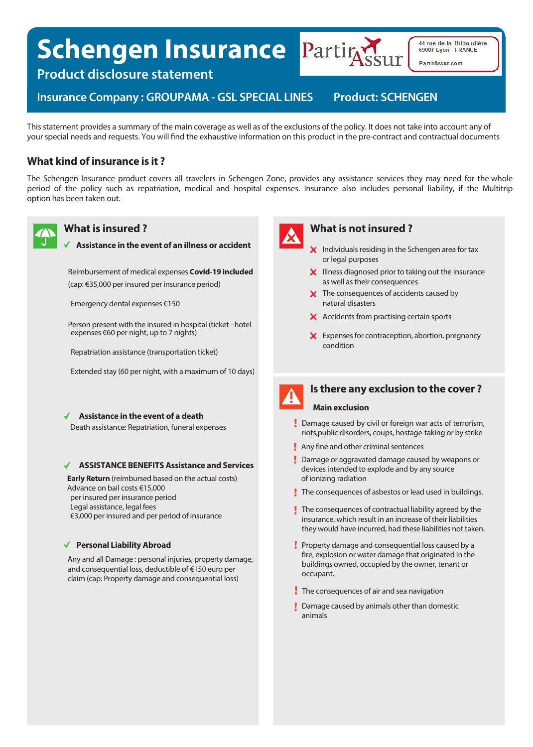# **Schengen Insurance Parting**



44 rue de la Thibaudière 69007 Lyon - FRANCE PartirAssur.com

**Product disclosure statement** 

**Insurance Company: GROUPAMA - GSL SPECIAL LINES Product: SCHENGEN** 

This statement provides a summary of the main coverage as well as of the exclusions of the policy. It does not take into account any of your special needs and requests. You will find the exhaustive information on this product in the pre-contract and contractual documents

# **What kind of insurance is it ?**

The Schengen Insurance product covers all travelers in Schengen Zone, provides any assistance services they may need for the whole period of the policy such as repatriation, medical and hospital expenses. Insurance also includes personal liability, if the Multitrip option has been taken out.



# **What is insured ?**

**Assistance in the event of an illness or accident**

Reimbursement of medical expenses **Covid-19 included**

(cap: €35,000 per insured per insurance period)

Emergency dental expenses €150

Person present with the insured in hospital (ticket - hotel expenses €60 per night, up to 7 nights)

Repatriation assistance (transportation ticket)

Extended stay (60 per night, with a maximum of 10 days)

**Assistance in the event of a death**

Death assistance: Repatriation, funeral expenses

#### **ASSISTANCE BENEFITS Assistance and Services**

**Early Return** (reimbursed based on the actual costs) Advance on bail costs €15,000 per insured per insurance period Legal assistance, legal fees €3,000 per insured and per period of insurance

#### **Personal Liability Abroad**

Any and all Damage : personal injuries, property damage, and consequential loss, deductible of €150 euro per claim (cap: Property damage and consequential loss)



### **What is not insured ?**

- $\boldsymbol{\times}$  Individuals residing in the Schengen area for tax or legal purposes
- $\boldsymbol{\mathsf{X}}$  Illness diagnosed prior to taking out the insurance as well as their consequences
- X The consequences of accidents caused by natural disasters
- $\boldsymbol{\times}$  Accidents from practising certain sports
- X Expenses for contraception, abortion, pregnancy condition



# **Is there any exclusion to the cover ?**

#### **Main exclusion**

- Damage caused by civil or foreign war acts of terrorism, riots,public disorders, coups, hostage-taking or by strike
- **Any fine and other criminal sentences**
- **Damage or aggravated damage caused by weapons or** devices intended to explode and by any source of ionizing radiation
- The consequences of asbestos or lead used in buildings.
- $\mathbf I$  The consequences of contractual liability agreed by the insurance, which result in an increase of their liabilities they would have incurred, had these liabilities not taken.
- Property damage and consequential loss caused by a fire, explosion or water damage that originated in the buildings owned, occupied by the owner, tenant or occupant.
- The consequences of air and sea navigation
- **Damage caused by animals other than domestic** animals